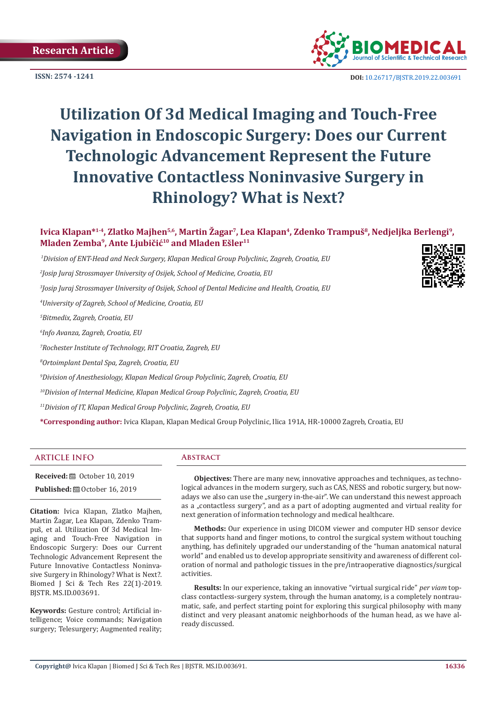**ISSN: 2574 -1241**



 **DOI:** [10.26717/BJSTR.2019.22.0036](http://dx.doi.org/10.26717/BJSTR.2019.22.003691)91

# **Utilization Of 3d Medical Imaging and Touch-Free Navigation in Endoscopic Surgery: Does our Current Technologic Advancement Represent the Future Innovative Contactless Noninvasive Surgery in Rhinology? What is Next?**

**Ivica Klapan\*1-4, Zlatko Majhen5,6, Martin Žagar7, Lea Klapan4, Zdenko Trampuš8, Nedjeljka Berlengi9, Mladen Zemba9, Ante Ljubičić10 and Mladen Ešler11** 

 *1Division of ENT-Head and Neck Surgery, Klapan Medical Group Polyclinic, Zagreb, Croatia, EU*

*2 Josip Juraj Strossmayer University of Osijek, School of Medicine, Croatia, EU*

*3 Josip Juraj Strossmayer University of Osijek, School of Dental Medicine and Health, Croatia, EU*

*4 University of Zagreb, School of Medicine, Croatia, EU*

*5 Bitmedix, Zagreb, Croatia, EU*

*6 Info Avanza, Zagreb, Croatia, EU*

*7 Rochester Institute of Technology, RIT Croatia, Zagreb, EU* 

*8 Ortoimplant Dental Spa, Zagreb, Croatia, EU* 

*9 Division of Anesthesiology, Klapan Medical Group Polyclinic, Zagreb, Croatia, EU* 

*10Division of Internal Medicine, Klapan Medical Group Polyclinic, Zagreb, Croatia, EU*

*11Division of IT, Klapan Medical Group Polyclinic, Zagreb, Croatia, EU* 

**\*Corresponding author:** Ivica Klapan, Klapan Medical Group Polyclinic, Ilica 191A, HR-10000 Zagreb, Croatia, EU

# **ARTICLE INFO Abstract**

**Received:** ■ October 10, 2019

**Published:** © October 16, 2019

**Citation:** Ivica Klapan, Zlatko Majhen, Martin Žagar, Lea Klapan, Zdenko Trampuš, et al. Utilization Of 3d Medical Imaging and Touch-Free Navigation in Endoscopic Surgery: Does our Current Technologic Advancement Represent the Future Innovative Contactless Noninvasive Surgery in Rhinology? What is Next?. Biomed J Sci & Tech Res 22(1)-2019. BJSTR. MS.ID.003691.

**Keywords:** Gesture control; Artificial intelligence; Voice commands; Navigation surgery; Telesurgery; Augmented reality;

**Objectives:** There are many new, innovative approaches and techniques, as technological advances in the modern surgery, such as CAS, NESS and robotic surgery, but nowadays we also can use the "surgery in-the-air". We can understand this newest approach as a "contactless surgery", and as a part of adopting augmented and virtual reality for next generation of information technology and medical healthcare.

**Methods:** Our experience in using DICOM viewer and computer HD sensor device that supports hand and finger motions, to control the surgical system without touching anything, has definitely upgraded our understanding of the "human anatomical natural world" and enabled us to develop appropriate sensitivity and awareness of different coloration of normal and pathologic tissues in the pre/intraoperative diagnostics/surgical activities.

**Results:** In our experience, taking an innovative "virtual surgical ride" *per viam* topclass contactless-surgery system, through the human anatomy, is a completely nontraumatic, safe, and perfect starting point for exploring this surgical philosophy with many distinct and very pleasant anatomic neighborhoods of the human head, as we have already discussed.

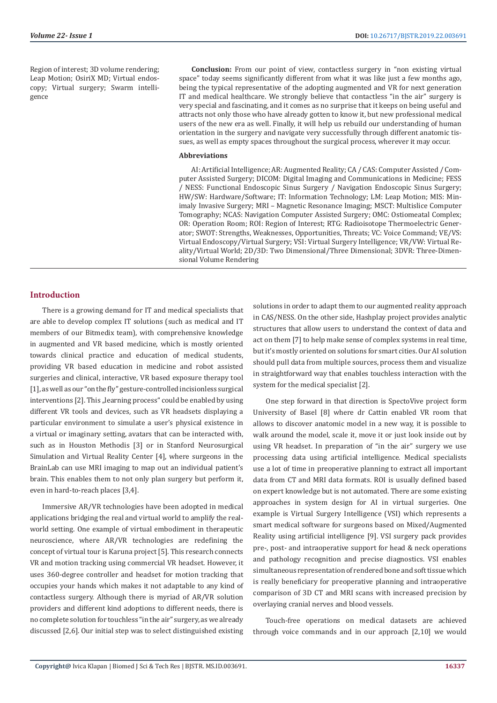Region of interest; 3D volume rendering; Leap Motion; OsiriX MD; Virtual endoscopy; Virtual surgery; Swarm intelligence

**Conclusion:** From our point of view, contactless surgery in "non existing virtual space" today seems significantly different from what it was like just a few months ago, being the typical representative of the adopting augmented and VR for next generation IT and medical healthcare. We strongly believe that contactless "in the air" surgery is very special and fascinating, and it comes as no surprise that it keeps on being useful and attracts not only those who have already gotten to know it, but new professional medical users of the new era as well. Finally, it will help us rebuild our understanding of human orientation in the surgery and navigate very successfully through different anatomic tissues, as well as empty spaces throughout the surgical process, wherever it may occur.

#### **Abbreviations**

AI: Artificial Intelligence; AR: Augmented Reality; CA / CAS: Computer Assisted / Computer Assisted Surgery; DICOM: Digital Imaging and Communications in Medicine; FESS / NESS: Functional Endoscopic Sinus Surgery / Navigation Endoscopic Sinus Surgery; HW/SW: Hardware/Software; IT: Information Technology; LM: Leap Motion; MIS: Minimaly Invasive Surgery; MRI – Magnetic Resonance Imaging; MSCT: Multislice Computer Tomography; NCAS: Navigation Computer Assisted Surgery; OMC: Ostiomeatal Complex; OR: Operation Room; ROI: Region of Interest; RTG: Radioisotope Thermoelectric Generator; SWOT: Strengths, Weaknesses, Opportunities, Threats; VC: Voice Command; VE/VS: Virtual Endoscopy/Virtual Surgery; VSI: Virtual Surgery Intelligence; VR/VW: Virtual Reality/Virtual World; 2D/3D: Two Dimensional/Three Dimensional; 3DVR: Three-Dimensional Volume Rendering

#### **Introduction**

There is a growing demand for IT and medical specialists that are able to develop complex IT solutions (such as medical and IT members of our Bitmedix team), with comprehensive knowledge in augmented and VR based medicine, which is mostly oriented towards clinical practice and education of medical students, providing VR based education in medicine and robot assisted surgeries and clinical, interactive, VR based exposure therapy tool [1], as well as our "on the fly" gesture-controlled incisionless surgical interventions [2]. This "learning process" could be enabled by using different VR tools and devices, such as VR headsets displaying a particular environment to simulate a user's physical existence in a virtual or imaginary setting, avatars that can be interacted with, such as in Houston Methodis [3] or in Stanford Neurosurgical Simulation and Virtual Reality Center [4], where surgeons in the BrainLab can use MRI imaging to map out an individual patient's brain. This enables them to not only plan surgery but perform it, even in hard-to-reach places [3,4].

Immersive AR/VR technologies have been adopted in medical applications bridging the real and virtual world to amplify the realworld setting. One example of virtual embodiment in therapeutic neuroscience, where AR/VR technologies are redefining the concept of virtual tour is Karuna project [5]. This research connects VR and motion tracking using commercial VR headset. However, it uses 360-degree controller and headset for motion tracking that occupies your hands which makes it not adaptable to any kind of contactless surgery. Although there is myriad of AR/VR solution providers and different kind adoptions to different needs, there is no complete solution for touchless "in the air" surgery, as we already discussed [2,6]. Our initial step was to select distinguished existing

solutions in order to adapt them to our augmented reality approach in CAS/NESS. On the other side, Hashplay project provides analytic structures that allow users to understand the context of data and act on them [7] to help make sense of complex systems in real time, but it's mostly oriented on solutions for smart cities. Our AI solution should pull data from multiple sources, process them and visualize in straightforward way that enables touchless interaction with the system for the medical specialist [2].

One step forward in that direction is SpectoVive project form University of Basel [8] where dr Cattin enabled VR room that allows to discover anatomic model in a new way, it is possible to walk around the model, scale it, move it or just look inside out by using VR headset. In preparation of "in the air" surgery we use processing data using artificial intelligence. Medical specialists use a lot of time in preoperative planning to extract all important data from CT and MRI data formats. ROI is usually defined based on expert knowledge but is not automated. There are some existing approaches in system design for AI in virtual surgeries. One example is Virtual Surgery Intelligence (VSI) which represents a smart medical software for surgeons based on Mixed/Augmented Reality using artificial intelligence [9]. VSI surgery pack provides pre-, post- and intraoperative support for head & neck operations and pathology recognition and precise diagnostics. VSI enables simultaneous representation of rendered bone and soft tissue which is really beneficiary for preoperative planning and intraoperative comparison of 3D CT and MRI scans with increased precision by overlaying cranial nerves and blood vessels.

Touch-free operations on medical datasets are achieved through voice commands and in our approach [2,10] we would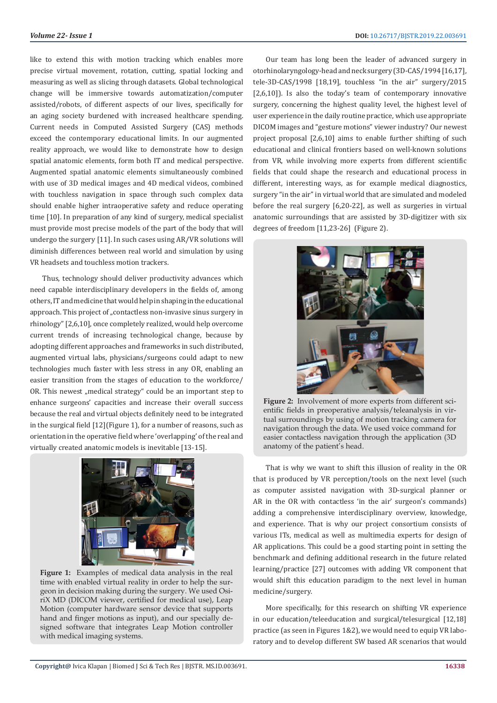like to extend this with motion tracking which enables more precise virtual movement, rotation, cutting, spatial locking and measuring as well as slicing through datasets. Global technological change will be immersive towards automatization/computer assisted/robots, of different aspects of our lives, specifically for an aging society burdened with increased healthcare spending. Current needs in Computed Assisted Surgery (CAS) methods exceed the contemporary educational limits. In our augmented reality approach, we would like to demonstrate how to design spatial anatomic elements, form both IT and medical perspective. Augmented spatial anatomic elements simultaneously combined with use of 3D medical images and 4D medical videos, combined with touchless navigation in space through such complex data should enable higher intraoperative safety and reduce operating time [10]. In preparation of any kind of surgery, medical specialist must provide most precise models of the part of the body that will undergo the surgery [11]. In such cases using AR/VR solutions will diminish differences between real world and simulation by using VR headsets and touchless motion trackers.

Thus, technology should deliver productivity advances which need capable interdisciplinary developers in the fields of, among others, IT and medicine that would help in shaping in the educational approach. This project of "contactless non-invasive sinus surgery in rhinology" [2,6,10], once completely realized, would help overcome current trends of increasing technological change, because by adopting different approaches and frameworks in such distributed, augmented virtual labs, physicians/surgeons could adapt to new technologies much faster with less stress in any OR, enabling an easier transition from the stages of education to the workforce/ OR. This newest "medical strategy" could be an important step to enhance surgeons' capacities and increase their overall success because the real and virtual objects definitely need to be integrated in the surgical field [12](Figure 1), for a number of reasons, such as orientation in the operative field where 'overlapping' of the real and virtually created anatomic models is inevitable [13-15].



**Figure 1:** Examples of medical data analysis in the real time with enabled virtual reality in order to help the surgeon in decision making during the surgery. We used OsiriX MD (DICOM viewer, certified for medical use), Leap Motion (computer hardware sensor device that supports hand and finger motions as input), and our specially designed software that integrates Leap Motion controller with medical imaging systems.

Our team has long been the leader of advanced surgery in otorhinolaryngology-head and neck surgery (3D-CAS/1994 [16,17], tele-3D-CAS/1998 [18,19], touchless "in the air" surgery/2015 [2,6,10]). Is also the today's team of contemporary innovative surgery, concerning the highest quality level, the highest level of user experience in the daily routine practice, which use appropriate DICOM images and "gesture motions" viewer industry? Our newest project proposal [2,6,10] aims to enable further shifting of such educational and clinical frontiers based on well-known solutions from VR, while involving more experts from different scientific fields that could shape the research and educational process in different, interesting ways, as for example medical diagnostics, surgery "in the air" in virtual world that are simulated and modeled before the real surgery [6,20-22], as well as surgeries in virtual anatomic surroundings that are assisted by 3D-digitizer with six degrees of freedom [11,23-26] (Figure 2).



**Figure 2:** Involvement of more experts from different scientific fields in preoperative analysis/teleanalysis in virtual surroundings by using of motion tracking camera for navigation through the data. We used voice command for easier contactless navigation through the application (3D anatomy of the patient's head.

That is why we want to shift this illusion of reality in the OR that is produced by VR perception/tools on the next level (such as computer assisted navigation with 3D-surgical planner or AR in the OR with contactless 'in the air' surgeon's commands) adding a comprehensive interdisciplinary overview, knowledge, and experience. That is why our project consortium consists of various ITs, medical as well as multimedia experts for design of AR applications. This could be a good starting point in setting the benchmark and defining additional research in the future related learning/practice [27] outcomes with adding VR component that would shift this education paradigm to the next level in human medicine/surgery.

More specifically, for this research on shifting VR experience in our education/teleeducation and surgical/telesurgical [12,18] practice (as seen in Figures 1&2), we would need to equip VR laboratory and to develop different SW based AR scenarios that would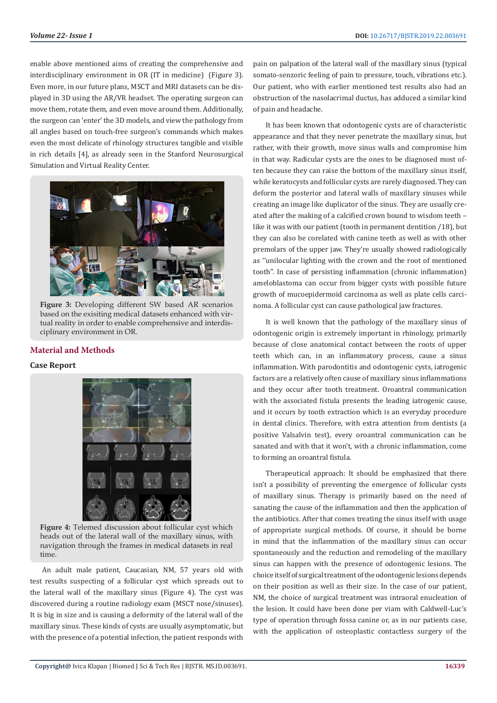enable above mentioned aims of creating the comprehensive and interdisciplinary environment in OR (IT in medicine) (Figure 3). Even more, in our future plans, MSCT and MRI datasets can be displayed in 3D using the AR/VR headset. The operating surgeon can move them, rotate them, and even move around them. Additionally, the surgeon can 'enter' the 3D models, and view the pathology from all angles based on touch-free surgeon's commands which makes even the most delicate of rhinology structures tangible and visible in rich details [4], as already seen in the Stanford Neurosurgical Simulation and Virtual Reality Center.



**Figure 3:** Developing different SW based AR scenarios based on the exisiting medical datasets enhanced with virtual reality in order to enable comprehensive and interdisciplinary environment in OR.

# **Material and Methods**

# **Case Report**



**Figure 4:** Telemed discussion about follicular cyst which heads out of the lateral wall of the maxillary sinus, with navigation through the frames in medical datasets in real time.

An adult male patient, Caucasian, NM, 57 years old with test results suspecting of a follicular cyst which spreads out to the lateral wall of the maxillary sinus (Figure 4). The cyst was discovered during a routine radiology exam (MSCT nose/sinuses). It is big in size and is causing a deformity of the lateral wall of the maxillary sinus. These kinds of cysts are usually asymptomatic, but with the presence of a potential infection, the patient responds with

pain on palpation of the lateral wall of the maxillary sinus (typical somato-senzoric feeling of pain to pressure, touch, vibrations etc.). Our patient, who with earlier mentioned test results also had an obstruction of the nasolacrimal ductus, has adduced a similar kind of pain and headache.

It has been known that odontogenic cysts are of characteristic appearance and that they never penetrate the maxillary sinus, but rather, with their growth, move sinus walls and compromise him in that way. Radicular cysts are the ones to be diagnosed most often because they can raise the bottom of the maxillary sinus itself, while keratocysts and follicular cysts are rarely diagnosed. They can deform the posterior and lateral walls of maxillary sinuses while creating an image like duplicator of the sinus. They are usually created after the making of a calcified crown bound to wisdom teeth – like it was with our patient (tooth in permanent dentition /18), but they can also be corelated with canine teeth as well as with other premolars of the upper jaw. They're usually showed radiologically as ''unilocular lighting with the crown and the root of mentioned tooth''. In case of persisting inflammation (chronic inflammation) ameloblastoma can occur from bigger cysts with possible future growth of mucoepidermoid carcinoma as well as plate cells carcinoma. A follicular cyst can cause pathological jaw fractures.

It is well known that the pathology of the maxillary sinus of odontogenic origin is extremely important in rhinology, primarily because of close anatomical contact between the roots of upper teeth which can, in an inflammatory process, cause a sinus inflammation. With parodontitis and odontogenic cysts, iatrogenic factors are a relatively often cause of maxillary sinus inflammations and they occur after tooth treatment. Oroantral communication with the associated fistula presents the leading iatrogenic cause, and it occurs by tooth extraction which is an everyday procedure in dental clinics. Therefore, with extra attention from dentists (a positive Valsalvin test), every oroantral communication can be sanated and with that it won't, with a chronic inflammation, come to forming an oroantral fistula.

Therapeutical approach: It should be emphasized that there isn't a possibility of preventing the emergence of follicular cysts of maxillary sinus. Therapy is primarily based on the need of sanating the cause of the inflammation and then the application of the antibiotics. After that comes treating the sinus itself with usage of appropriate surgical methods. Of course, it should be borne in mind that the inflammation of the maxillary sinus can occur spontaneously and the reduction and remodeling of the maxillary sinus can happen with the presence of odontogenic lesions. The choice itself of surgical treatment of the odontogenic lesions depends on their position as well as their size. In the case of our patient, NM, the choice of surgical treatment was intraoral enucleation of the lesion. It could have been done per viam with Caldwell-Luc's type of operation through fossa canine or, as in our patients case, with the application of osteoplastic contactless surgery of the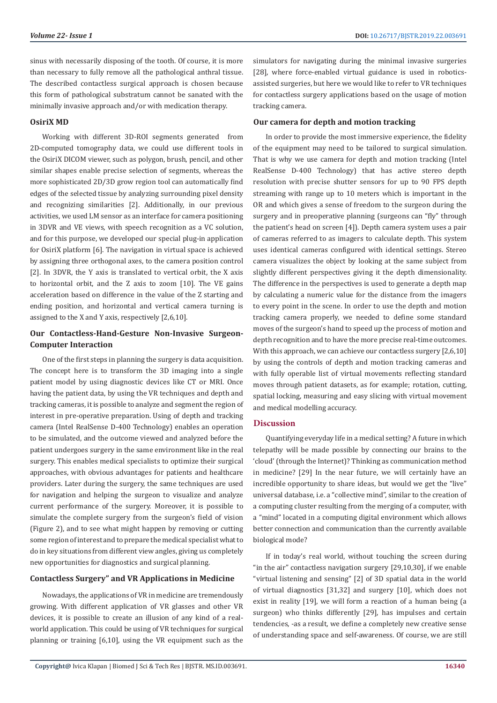sinus with necessarily disposing of the tooth. Of course, it is more than necessary to fully remove all the pathological anthral tissue. The described contactless surgical approach is chosen because this form of pathological substratum cannot be sanated with the minimally invasive approach and/or with medication therapy.

# **OsiriX MD**

Working with different 3D-ROI segments generated from 2D-computed tomography data, we could use different tools in the OsiriX DICOM viewer, such as polygon, brush, pencil, and other similar shapes enable precise selection of segments, whereas the more sophisticated 2D/3D grow region tool can automatically find edges of the selected tissue by analyzing surrounding pixel density and recognizing similarities [2]. Additionally, in our previous activities, we used LM sensor as an interface for camera positioning in 3DVR and VE views, with speech recognition as a VC solution, and for this purpose, we developed our special plug-in application for OsiriX platform [6]. The navigation in virtual space is achieved by assigning three orthogonal axes, to the camera position control [2]. In 3DVR, the Y axis is translated to vertical orbit, the X axis to horizontal orbit, and the Z axis to zoom [10]. The VE gains acceleration based on difference in the value of the Z starting and ending position, and horizontal and vertical camera turning is assigned to the X and Y axis, respectively [2,6,10].

# **Our Contactless-Hand-Gesture Non-Invasive Surgeon-Computer Interaction**

One of the first steps in planning the surgery is data acquisition. The concept here is to transform the 3D imaging into a single patient model by using diagnostic devices like CT or MRI. Once having the patient data, by using the VR techniques and depth and tracking cameras, it is possible to analyze and segment the region of interest in pre-operative preparation. Using of depth and tracking camera (Intel RealSense D-400 Technology) enables an operation to be simulated, and the outcome viewed and analyzed before the patient undergoes surgery in the same environment like in the real surgery. This enables medical specialists to optimize their surgical approaches, with obvious advantages for patients and healthcare providers. Later during the surgery, the same techniques are used for navigation and helping the surgeon to visualize and analyze current performance of the surgery. Moreover, it is possible to simulate the complete surgery from the surgeon's field of vision (Figure 2), and to see what might happen by removing or cutting some region of interest and to prepare the medical specialist what to do in key situations from different view angles, giving us completely new opportunities for diagnostics and surgical planning.

## **Contactless Surgery" and VR Applications in Medicine**

Nowadays, the applications of VR in medicine are tremendously growing. With different application of VR glasses and other VR devices, it is possible to create an illusion of any kind of a realworld application. This could be using of VR techniques for surgical planning or training [6,10], using the VR equipment such as the simulators for navigating during the minimal invasive surgeries [28], where force-enabled virtual guidance is used in roboticsassisted surgeries, but here we would like to refer to VR techniques for contactless surgery applications based on the usage of motion tracking camera.

# **Our camera for depth and motion tracking**

In order to provide the most immersive experience, the fidelity of the equipment may need to be tailored to surgical simulation. That is why we use camera for depth and motion tracking (Intel RealSense D-400 Technology) that has active stereo depth resolution with precise shutter sensors for up to 90 FPS depth streaming with range up to 10 meters which is important in the OR and which gives a sense of freedom to the surgeon during the surgery and in preoperative planning (surgeons can "fly" through the patient's head on screen [4]). Depth camera system uses a pair of cameras referred to as imagers to calculate depth. This system uses identical cameras configured with identical settings. Stereo camera visualizes the object by looking at the same subject from slightly different perspectives giving it the depth dimensionality. The difference in the perspectives is used to generate a depth map by calculating a numeric value for the distance from the imagers to every point in the scene. In order to use the depth and motion tracking camera properly, we needed to define some standard moves of the surgeon's hand to speed up the process of motion and depth recognition and to have the more precise real-time outcomes. With this approach, we can achieve our contactless surgery [2,6,10] by using the controls of depth and motion tracking cameras and with fully operable list of virtual movements reflecting standard moves through patient datasets, as for example; rotation, cutting, spatial locking, measuring and easy slicing with virtual movement and medical modelling accuracy.

#### **Discussion**

Quantifying everyday life in a medical setting? A future in which telepathy will be made possible by connecting our brains to the 'cloud' (through the Internet)? Thinking as communication method in medicine? [29] In the near future, we will certainly have an incredible opportunity to share ideas, but would we get the "live" universal database, i.e. a "collective mind", similar to the creation of a computing cluster resulting from the merging of a computer, with a "mind" located in a computing digital environment which allows better connection and communication than the currently available biological mode?

If in today's real world, without touching the screen during "in the air" contactless navigation surgery [29,10,30], if we enable "virtual listening and sensing" [2] of 3D spatial data in the world of virtual diagnostics [31,32] and surgery [10], which does not exist in reality [19], we will form a reaction of a human being (a surgeon) who thinks differently [29], has impulses and certain tendencies, -as a result, we define a completely new creative sense of understanding space and self-awareness. Of course, we are still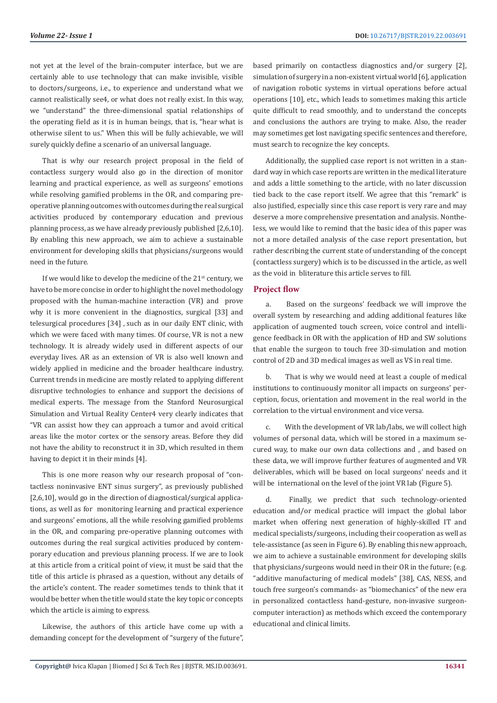not yet at the level of the brain-computer interface, but we are certainly able to use technology that can make invisible, visible to doctors/surgeons, i.e., to experience and understand what we cannot realistically see4, or what does not really exist. In this way, we "understand" the three-dimensional spatial relationships of the operating field as it is in human beings, that is, "hear what is otherwise silent to us." When this will be fully achievable, we will surely quickly define a scenario of an universal language.

That is why our research project proposal in the field of contactless surgery would also go in the direction of monitor learning and practical experience, as well as surgeons' emotions while resolving gamified problems in the OR, and comparing preoperative planning outcomes with outcomes during the real surgical activities produced by contemporary education and previous planning process, as we have already previously published [2,6,10]. By enabling this new approach, we aim to achieve a sustainable environment for developing skills that physicians/surgeons would need in the future.

If we would like to develop the medicine of the  $21^{st}$  century, we have to be more concise in order to highlight the novel methodology proposed with the human-machine interaction (VR) and prove why it is more convenient in the diagnostics, surgical [33] and telesurgical procedures [34] , such as in our daily ENT clinic, with which we were faced with many times. Of course, VR is not a new technology. It is already widely used in different aspects of our everyday lives. AR as an extension of VR is also well known and widely applied in medicine and the broader healthcare industry. Current trends in medicine are mostly related to applying different disruptive technologies to enhance and support the decisions of medical experts. The message from the Stanford Neurosurgical Simulation and Virtual Reality Center4 very clearly indicates that "VR can assist how they can approach a tumor and avoid critical areas like the motor cortex or the sensory areas. Before they did not have the ability to reconstruct it in 3D, which resulted in them having to depict it in their minds [4].

This is one more reason why our research proposal of "contactless noninvasive ENT sinus surgery", as previously published [2,6,10], would go in the direction of diagnostical/surgical applications, as well as for monitoring learning and practical experience and surgeons' emotions, all the while resolving gamified problems in the OR, and comparing pre-operative planning outcomes with outcomes during the real surgical activities produced by contemporary education and previous planning process. If we are to look at this article from a critical point of view, it must be said that the title of this article is phrased as a question, without any details of the article's content. The reader sometimes tends to think that it would be better when the title would state the key topic or concepts which the article is aiming to express.

Likewise, the authors of this article have come up with a demanding concept for the development of "surgery of the future", based primarily on contactless diagnostics and/or surgery [2], simulation of surgery in a non-existent virtual world [6], application of navigation robotic systems in virtual operations before actual operations [10], etc., which leads to sometimes making this article quite difficult to read smoothly, and to understand the concepts and conclusions the authors are trying to make. Also, the reader may sometimes get lost navigating specific sentences and therefore, must search to recognize the key concepts.

Additionally, the supplied case report is not written in a standard way in which case reports are written in the medical literature and adds a little something to the article, with no later discussion tied back to the case report itself. We agree that this "remark" is also justified, especially since this case report is very rare and may deserve a more comprehensive presentation and analysis. Nontheless, we would like to remind that the basic idea of this paper was not a more detailed analysis of the case report presentation, but rather describing the current state of understanding of the concept (contactless surgery) which is to be discussed in the article, as well as the void in bliterature this article serves to fill.

#### **Project flow**

a. Based on the surgeons' feedback we will improve the overall system by researching and adding additional features like application of augmented touch screen, voice control and intelligence feedback in OR with the application of HD and SW solutions that enable the surgeon to touch free 3D-simulation and motion control of 2D and 3D medical images as well as VS in real time.

b. That is why we would need at least a couple of medical institutions to continuously monitor all impacts on surgeons' perception, focus, orientation and movement in the real world in the correlation to the virtual environment and vice versa.

c. With the development of VR lab/labs, we will collect high volumes of personal data, which will be stored in a maximum secured way, to make our own data collections and , and based on these data, we will improve further features of augmented and VR deliverables, which will be based on local surgeons' needs and it will be international on the level of the joint VR lab (Figure 5).

d. Finally, we predict that such technology-oriented education and/or medical practice will impact the global labor market when offering next generation of highly-skilled IT and medical specialists/surgeons, including their cooperation as well as tele-assistance (as seen in Figure 6). By enabling this new approach, we aim to achieve a sustainable environment for developing skills that physicians/surgeons would need in their OR in the future; (e.g. "additive manufacturing of medical models" [38], CAS, NESS, and touch free surgeon's commands- as "biomechanics" of the new era in personalized contactless hand-gesture, non-invasive surgeoncomputer interaction) as methods which exceed the contemporary educational and clinical limits.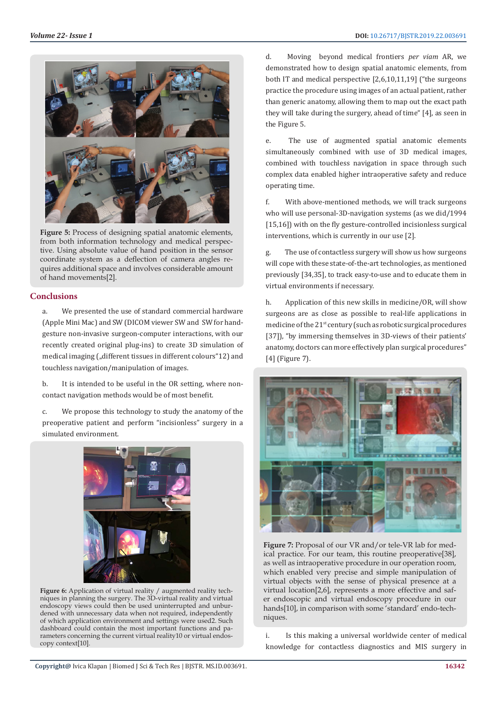

Figure 5: Process of designing spatial anatomic elements, from both information technology and medical perspective. Using absolute value of hand position in the sensor coordinate system as a deflection of camera angles requires additional space and involves considerable amount of hand movements[2].

# **Conclusions**

a. We presented the use of standard commercial hardware (Apple Mini Mac) and SW (DICOM viewer SW and SW for handgesture non-invasive surgeon-computer interactions, with our recently created original plug-ins) to create 3D simulation of medical imaging ("different tissues in different colours"12) and touchless navigation/manipulation of images.

b. It is intended to be useful in the OR setting, where noncontact navigation methods would be of most benefit.

c. We propose this technology to study the anatomy of the preoperative patient and perform "incisionless" surgery in a simulated environment.



**Figure 6:** Application of virtual reality / augmented reality techniques in planning the surgery. The 3D-virtual reality and virtual endoscopy views could then be used uninterrupted and unburdened with unnecessary data when not required, independently of which application environment and settings were used2. Such dashboard could contain the most important functions and parameters concerning the current virtual reality10 or virtual endoscopy context[10].

d. Moving beyond medical frontiers *per viam* AR, we demonstrated how to design spatial anatomic elements, from both IT and medical perspective [2,6,10,11,19] ("the surgeons practice the procedure using images of an actual patient, rather than generic anatomy, allowing them to map out the exact path they will take during the surgery, ahead of time" [4], as seen in the Figure 5.

e. The use of augmented spatial anatomic elements simultaneously combined with use of 3D medical images, combined with touchless navigation in space through such complex data enabled higher intraoperative safety and reduce operating time.

f. With above-mentioned methods, we will track surgeons who will use personal-3D-navigation systems (as we did/1994 [15,16]) with on the fly gesture-controlled incisionless surgical interventions, which is currently in our use [2].

The use of contactless surgery will show us how surgeons will cope with these state-of-the-art technologies, as mentioned previously [34,35], to track easy-to-use and to educate them in virtual environments if necessary.

h. Application of this new skills in medicine/OR, will show surgeons are as close as possible to real-life applications in medicine of the 21st century (such as robotic surgical procedures [37]), "by immersing themselves in 3D-views of their patients' anatomy, doctors can more effectively plan surgical procedures" [4] (Figure 7).



Figure 7: Proposal of our VR and/or tele-VR lab for medical practice. For our team, this routine preoperative[38], as well as intraoperative procedure in our operation room, which enabled very precise and simple manipulation of virtual objects with the sense of physical presence at a virtual location[2,6], represents a more effective and safer endoscopic and virtual endoscopy procedure in our hands[10], in comparison with some 'standard' endo-techniques.

i. Is this making a universal worldwide center of medical knowledge for contactless diagnostics and MIS surgery in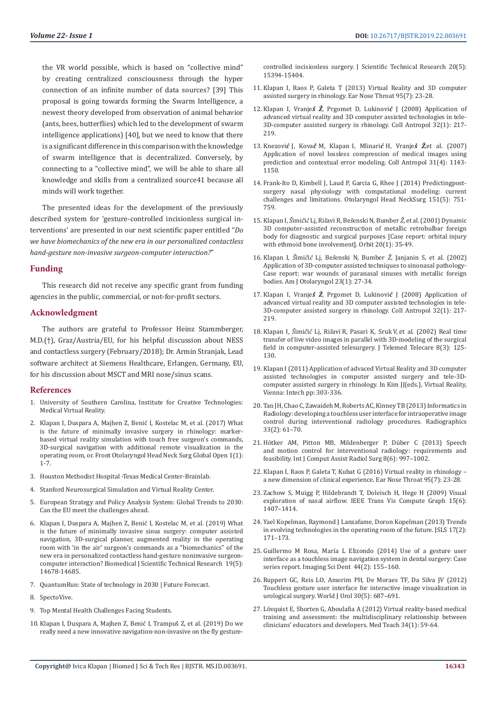the VR world possible, which is based on "collective mind" by creating centralized consciousness through the hyper connection of an infinite number of data sources? [39] This proposal is going towards forming the Swarm Intelligence, a newest theory developed from observation of animal behavior (ants, bees, butterflies) which led to the development of swarm intelligence applications) [40], but we need to know that there is a significant difference in this comparison with the knowledge of swarm intelligence that is decentralized. Conversely, by connecting to a "collective mind", we will be able to share all knowledge and skills from a centralized source41 because all minds will work together.

The presented ideas for the development of the previously described system for 'gesture-controlled incisionless surgical interventions' are presented in our next scientific paper entitled "*Do we have biomechanics of the new era in our personalized contactless hand-gesture non-invasive surgeon-computer interaction?*"

## **Funding**

This research did not receive any specific grant from funding agencies in the public, commercial, or not-for-profit sectors.

# **Acknowledgment**

The authors are grateful to Professor Heinz Stammberger, M.D.(†), Graz/Austria/EU, for his helpful discussion about NESS and contactless surgery (February/2018); Dr. Armin Stranjak, Lead software architect at Siemens Healthcare, Erlangen, Germany, EU, for his discussion about MSCT and MRI nose/sinus scans.

#### **References**

- 1. [University of Southern Carolina, Institute for Creative Technologies:](http://medvr.ict.usc.edu/projects/bravemind/)  [Medical Virtual Reality.](http://medvr.ict.usc.edu/projects/bravemind/)
- 2. [Klapan I, Duspara A, Majhen Z, Benić I, Kostelac M, et al. \(2017\) What](https://pdfs.semanticscholar.org/9151/293f25da0850ae2c70864b1a5ba1fe09eaa3.pdf)  [is the future of minimally invasive surgery in rhinology: marker](https://pdfs.semanticscholar.org/9151/293f25da0850ae2c70864b1a5ba1fe09eaa3.pdf)[based virtual reality simulation with touch free surgeon's commands,](https://pdfs.semanticscholar.org/9151/293f25da0850ae2c70864b1a5ba1fe09eaa3.pdf)  [3D-surgical navigation with additional remote visualization in the](https://pdfs.semanticscholar.org/9151/293f25da0850ae2c70864b1a5ba1fe09eaa3.pdf)  [operating room, or. Front Otolaryngol Head Neck Surg Global Open 1\(1\):](https://pdfs.semanticscholar.org/9151/293f25da0850ae2c70864b1a5ba1fe09eaa3.pdf)  [1-7.](https://pdfs.semanticscholar.org/9151/293f25da0850ae2c70864b1a5ba1fe09eaa3.pdf)
- 3. [Houston Methodist Hospital -Texas Medical Center-Brainlab.](https://www.houstonmethodist.org/1285_houstonmethodist/738_servicesandspecialties/2044_servicesandspecialities_neurologyandneurosurgery/2181_servicesandspecialities_locations/2183_servicesandspecialities_neurologicalinstitutetexasmedicalcenterhouston/2185_servicesandspecialities_clinicalprograms/2188_servicesandspecialties_alsclinic/noitem_servicesspecialties_alsclinic_specialties/)
- 4. [Stanford Neurosurgical Simulation and Virtual Reality Center.](https://med.stanford.edu/neurosurgery/divisions/vr-lab.html)
- 5. [European Strategy and Policy Analysis System: Global Trends to 2030:](http://ec.europa.eu/epsc/sites/epsc/files/espas-report-2015.pdf)  [Can the EU meet the challenges ahead](http://ec.europa.eu/epsc/sites/epsc/files/espas-report-2015.pdf).
- 6. [Klapan I, Duspara A, Majhen Z, Benić I, Kostelac M, et al.](https://biomedres.us/fulltexts/BJSTR.MS.ID.003377.php) (2019) What [is the future of minimally invasive sinus surgery: computer assisted](https://biomedres.us/fulltexts/BJSTR.MS.ID.003377.php)  [navigation, 3D-surgical planner, augmented reality in the operating](https://biomedres.us/fulltexts/BJSTR.MS.ID.003377.php)  [room with 'in the air' surgeon's commands as a "biomechanics" of the](https://biomedres.us/fulltexts/BJSTR.MS.ID.003377.php)  [new era in personalized contactless hand](https://biomedres.us/fulltexts/BJSTR.MS.ID.003377.php)-gesture noninvasive surgeon[computer interaction? Biomedical J Scientific Technical Research 19\(5\):](https://biomedres.us/fulltexts/BJSTR.MS.ID.003377.php)  [14678-14685](https://biomedres.us/fulltexts/BJSTR.MS.ID.003377.php).
- 7. [QuantumRun: State of technology in 2030 | Future Forecast.](https://www.quantumrun.com/future-timeline/2030/future-timeline-subpost-technology)
- 8. [SpectoVive.](https://www.unibas.ch/en/News-Events/News/Uni-Research/Virtual-Reality-in-Medicine.html)
- 9. [Top Mental Health Challenges Facing Students.](C:\\Users\\Viswas Computers\\AppData\\Roaming\\Microsoft\\Word\\1.https:\\www.bestcolleges.com\\resources\\top-5-mental-health-problems-facing-college-students\\)
- 10. [Klapan I, Duspara A, Majhen Z, Benić I, Trampuš Z, et al. \(2019\) Do we](https://biomedres.us/fulltexts/BJSTR.MS.ID.003377.php)  [really need a new innovative navigation-non-invasive](https://biomedres.us/fulltexts/BJSTR.MS.ID.003377.php) on the fly gesture-

[controlled incisionless surgery. J Scientific Technical Research 20\(5\):](https://biomedres.us/fulltexts/BJSTR.MS.ID.003377.php) [15394-15404.](https://biomedres.us/fulltexts/BJSTR.MS.ID.003377.php)

- 11. Klapan I, Raos P, Galeta T (2013) Virtual Reality and 3D computer assisted surgery in rhinology. Ear Nose Throat 95(7): 23-28.
- 12. Klapan I, Vranje*š Ž*, Prgomet D, Lukinovi*ć* [J \(2008\) Application of](https://www.ncbi.nlm.nih.gov/pubmed/18494207) [advanced virtual reality and 3D computer assisted technologies in tele-](https://www.ncbi.nlm.nih.gov/pubmed/18494207)[3D-computer assisted surgery in rhinology. Coll Antropol 32\(1\): 217-](https://www.ncbi.nlm.nih.gov/pubmed/18494207) [219.](https://www.ncbi.nlm.nih.gov/pubmed/18494207)
- 13. Knezovi*ć* J, Kova*č* M, Klapan I, Mlinari*ć* H, Vranje*š Ž*[,et al. \(2007\)](https://www.ncbi.nlm.nih.gov/pubmed/18217473) [Application of novel lossless compression of medical images using](https://www.ncbi.nlm.nih.gov/pubmed/18217473) [prediction and contextual error modeling. Coll Antropol 31\(4\): 1143-](https://www.ncbi.nlm.nih.gov/pubmed/18217473) [1150.](https://www.ncbi.nlm.nih.gov/pubmed/18217473)
- 14. [Frank-Ito D, Kimbell J, Laud P, Garcia G, Rhee J \(2014\) Predictingpost](https://www.ncbi.nlm.nih.gov/pmc/articles/PMC4405156/)[surgery nasal physiology with computational modeling: current](https://www.ncbi.nlm.nih.gov/pmc/articles/PMC4405156/) [challenges and limitations. Otolaryngol Head NeckSurg 151\(5\): 751-](https://www.ncbi.nlm.nih.gov/pmc/articles/PMC4405156/) [759.](https://www.ncbi.nlm.nih.gov/pmc/articles/PMC4405156/)
- 15. Klapan I, *Š*imi*č*i*ć* Lj, Ri*š*avi R, Be*š*enski N, Bumber *Ž*[, et al. \(2001\) Dynamic](https://www.ncbi.nlm.nih.gov/pubmed/12045933) [3D computer-assisted reconstruction of metallic retrobulbar foreign](https://www.ncbi.nlm.nih.gov/pubmed/12045933) [body for diagnostic and surgical purposes \[Case report: orbital injury](https://www.ncbi.nlm.nih.gov/pubmed/12045933) [with ethmoid bone involvement\]. Orbit 20\(1\): 35-49.](https://www.ncbi.nlm.nih.gov/pubmed/12045933)
- 16. Klapan I, *Š*imi*č*i*ć* Lj, Be*š*enski N, Bumber *Ž*[, Janjanin S, et al. \(2002\)](https://www.ncbi.nlm.nih.gov/pubmed/11791246) [Application of 3D-computer assisted techniques to sinonasal pathology-](https://www.ncbi.nlm.nih.gov/pubmed/11791246)[Case report: war wounds of paranasal sinuses with metallic foreign](https://www.ncbi.nlm.nih.gov/pubmed/11791246) [bodies. Am J Otolaryngol 23\(1\): 27-34.](https://www.ncbi.nlm.nih.gov/pubmed/11791246)
- 17. Klapan I, Vranje*š Ž*, Prgomet D, Lukinovi*ć* [J \(2008\) Application of](https://www.ncbi.nlm.nih.gov/pubmed/18494207) [advanced virtual reality and 3D computer assisted technologies in tele-](https://www.ncbi.nlm.nih.gov/pubmed/18494207)[3D-computer assisted surgery in rhinology. Coll Antropol 32\(1\): 217-](https://www.ncbi.nlm.nih.gov/pubmed/18494207) [219.](https://www.ncbi.nlm.nih.gov/pubmed/18494207)
- 18. Klapan I, *Š*imi*č*i*ć* Lj, Ri*š*avi R, Pasari K, Sruk V, [et al. \(2002\) Real time](https://www.ncbi.nlm.nih.gov/pubmed/12097173) [transfer of live video images in parallel with 3D-modeling of the surgical](https://www.ncbi.nlm.nih.gov/pubmed/12097173) [field in computer-assisted telesurgery. J Telemed Telecare 8\(3\): 125-](https://www.ncbi.nlm.nih.gov/pubmed/12097173) [130.](https://www.ncbi.nlm.nih.gov/pubmed/12097173)
- 19. Klapan I (2011) Application of advaced Virtual Reality and 3D computer assisted technologies in computer assisted surgery and tele-3Dcomputer assisted surgery in rhinology. In Kim JJ(eds.), Virtual Reality, Vienna: Intech pp: 303-336.
- 20. [Tan JH, Chao C, Zawaideh M, Roberts AC, Kinney TB \(2013\) Informatics in](https://www.ncbi.nlm.nih.gov/pubmed/23264282) [Radiology: developing a touchless user interface for intraoperative image](https://www.ncbi.nlm.nih.gov/pubmed/23264282) [control during interventional radiology procedures. Radiographics](https://www.ncbi.nlm.nih.gov/pubmed/23264282) [33\(2\): 61–70.](https://www.ncbi.nlm.nih.gov/pubmed/23264282)
- 21. [Hötker AM, Pitton MB, Mildenberger P, Düber C \(2013\) Speech](https://www.ncbi.nlm.nih.gov/pubmed/23580026) [and motion control for interventional radiology: requirements and](https://www.ncbi.nlm.nih.gov/pubmed/23580026) [feasibility. Int J Comput Assist Radiol Surg 8\(6\): 997–1002.](https://www.ncbi.nlm.nih.gov/pubmed/23580026)
- 22. [Klapan I, Raos P, Galeta T, Kubat G \(2016\) Virtual reality in rhinology –](https://www.ncbi.nlm.nih.gov/pubmed/27434481) [a new dimension of clinical experience. Ear Nose Throat 95\(7\): 23-28.](https://www.ncbi.nlm.nih.gov/pubmed/27434481)
- 23. [Zachow S, Muigg P, Hildebrandt T, Doleisch H, Hege H \(2009\) Visual](https://www.ncbi.nlm.nih.gov/pubmed/19834215) [exploration of nasal airflow. IEEE Trans Vis Compute Graph 15\(6\):](https://www.ncbi.nlm.nih.gov/pubmed/19834215) [1407–1414.](https://www.ncbi.nlm.nih.gov/pubmed/19834215)
- 24. [Yael Kopelman, Raymond J Lanzafame, Doron Kopelman \(2013\) Trends](https://www.ncbi.nlm.nih.gov/pmc/articles/PMC3771780/) [in evolving technologies in the operating room of the future. JSLS 17\(2\):](https://www.ncbi.nlm.nih.gov/pmc/articles/PMC3771780/) [171–173.](https://www.ncbi.nlm.nih.gov/pmc/articles/PMC3771780/)
- 25. [Guillermo M Rosa, María L Elizondo \(2014\) Use of a gesture user](https://www.ncbi.nlm.nih.gov/pubmed/24944966) [interface as a touchless image navigation system in dental surgery: Case](https://www.ncbi.nlm.nih.gov/pubmed/24944966) [series report. Imaging Sci Dent 44\(2\): 155–160.](https://www.ncbi.nlm.nih.gov/pubmed/24944966)
- 26. [Ruppert GC, Reis LO, Amorim PH, De Moraes TF, Da Silva JV \(2012\)](https://www.ncbi.nlm.nih.gov/pubmed/22580994) [Touchless gesture user interface for interactive image visualization in](https://www.ncbi.nlm.nih.gov/pubmed/22580994) [urological surgery. World J Urol 30\(5\): 687–691.](https://www.ncbi.nlm.nih.gov/pubmed/22580994)
- 27. [Lövquist E, Shorten G, Aboulafia A \(2012\) Virtual reality-based medical](https://www.ncbi.nlm.nih.gov/pubmed/22250676) [training and assessment: the multidisciplinary relationship between](https://www.ncbi.nlm.nih.gov/pubmed/22250676) [clinicians' educators and developers. Med Teach 34\(1\): 59-64.](https://www.ncbi.nlm.nih.gov/pubmed/22250676)